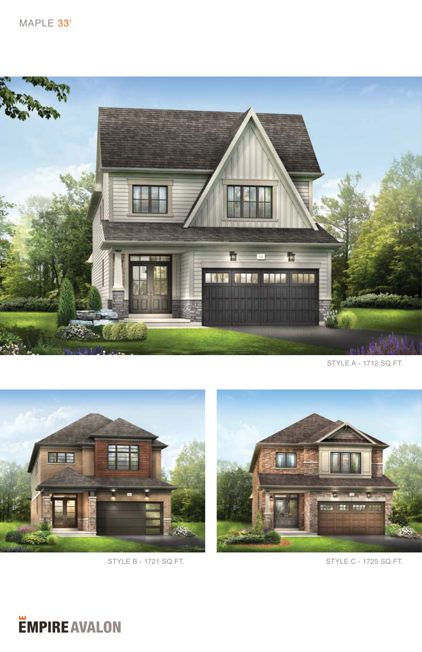

STYLE A - 1712 SQ.FT.





STYLE B - 1721 SQ.FT. STYLE C - 1725 SQ.FT.